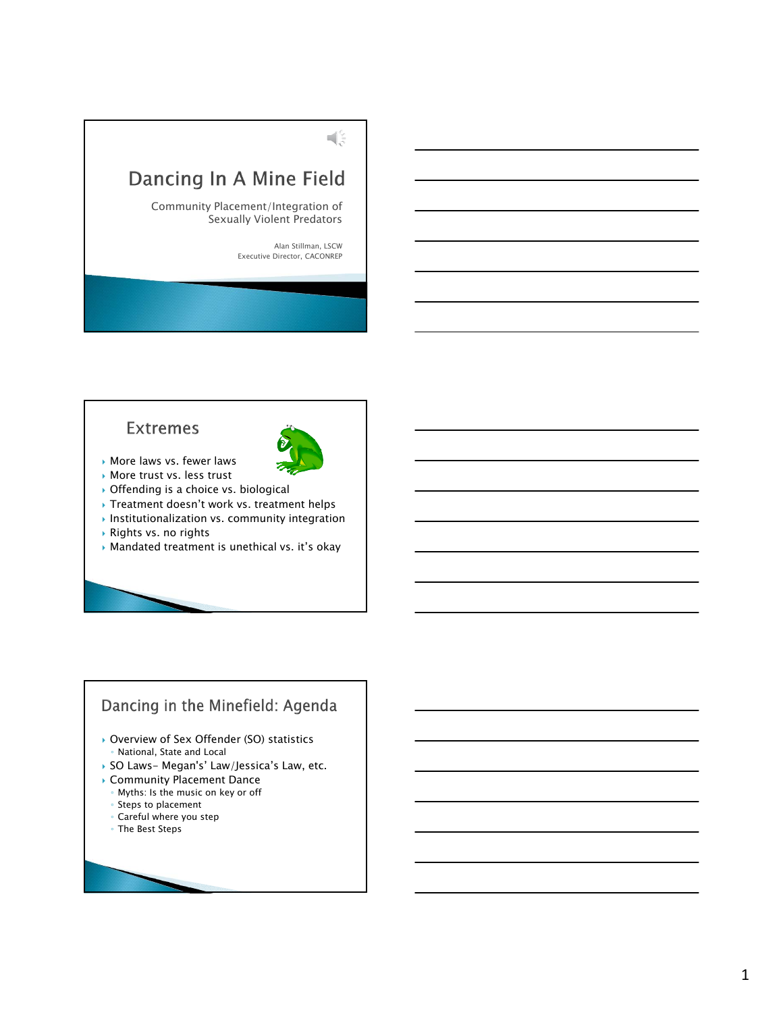

### **Extremes**



- More laws vs. fewer laws More trust vs. less trust
- Offending is a choice vs. biological
- ▶ Treatment doesn't work vs. treatment helps
- $\rightarrow$  Institutionalization vs. community integration
- Rights vs. no rights
- Mandated treatment is unethical vs. it's okay

## Dancing in the Minefield: Agenda

- ▶ Overview of Sex Offender (SO) statistics ◦ National, State and Local
- ▶ SO Laws- Megan's' Law/Jessica's Law, etc.
- Community Placement Dance
- Myths: Is the music on key or off
- Steps to placement
- Careful where you step
- The Best Steps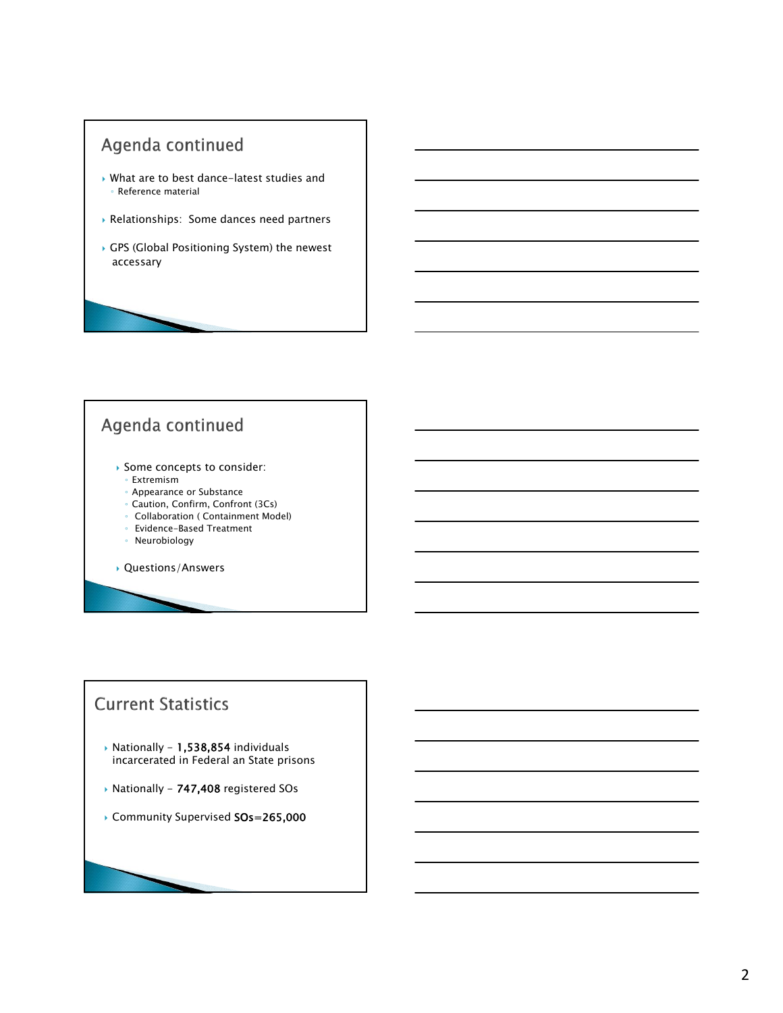

# Agenda continued

- Some concepts to consider: ◦ Extremism
	- Appearance or Substance
	- Caution, Confirm, Confront (3Cs)
	- Collaboration ( Containment Model)
	- Evidence-Based Treatment
	- Neurobiology
- Questions/Answers

## **Current Statistics**

- $\triangleright$  Nationally 1,538,854 individuals incarcerated in Federal an State prisons
- ▶ Nationally 747,408 registered SOs
- ▶ Community Supervised SOs=265,000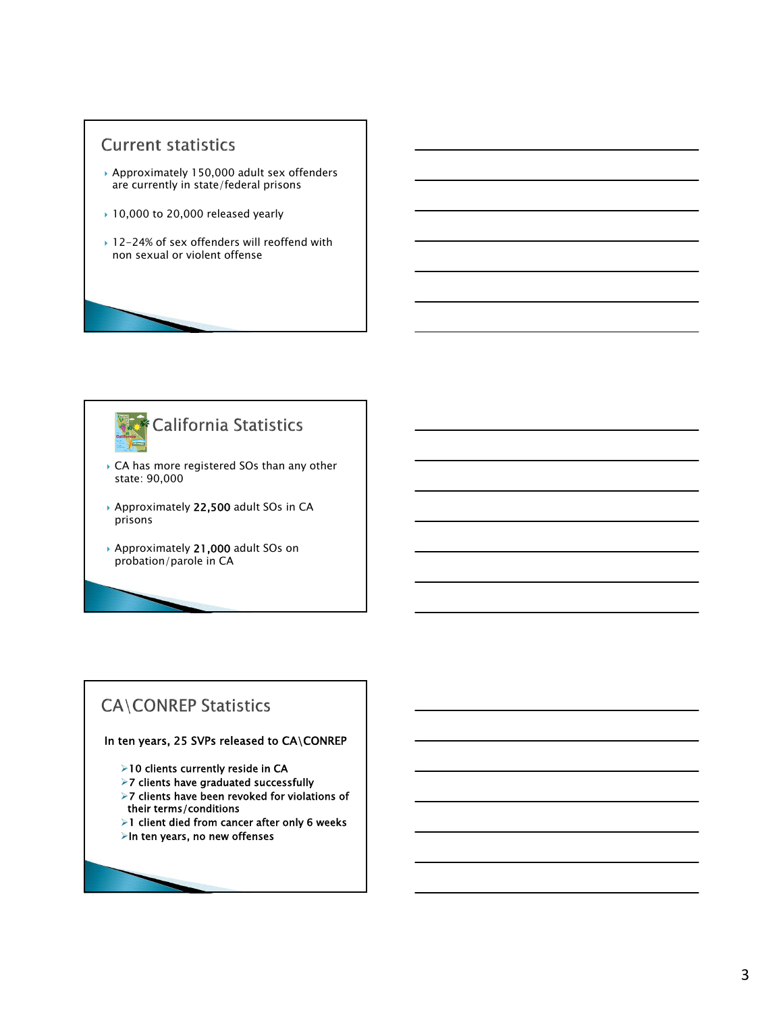



- ▶ CA has more registered SOs than any other state: 90,000
- Approximately 22,500 adult SOs in CA prisons
- Approximately 21,000 adult SOs on probation/parole in CA

# **CA\CONREP Statistics**

#### In ten years, 25 SVPs released to CA\CONREP

- >10 clients currently reside in CA
- $>$  7 clients have graduated successfully
- >7 clients have been revoked for violations of their terms/conditions
- $\geq 1$  client died from cancer after only 6 weeks
- $\triangleright$ In ten years, no new offenses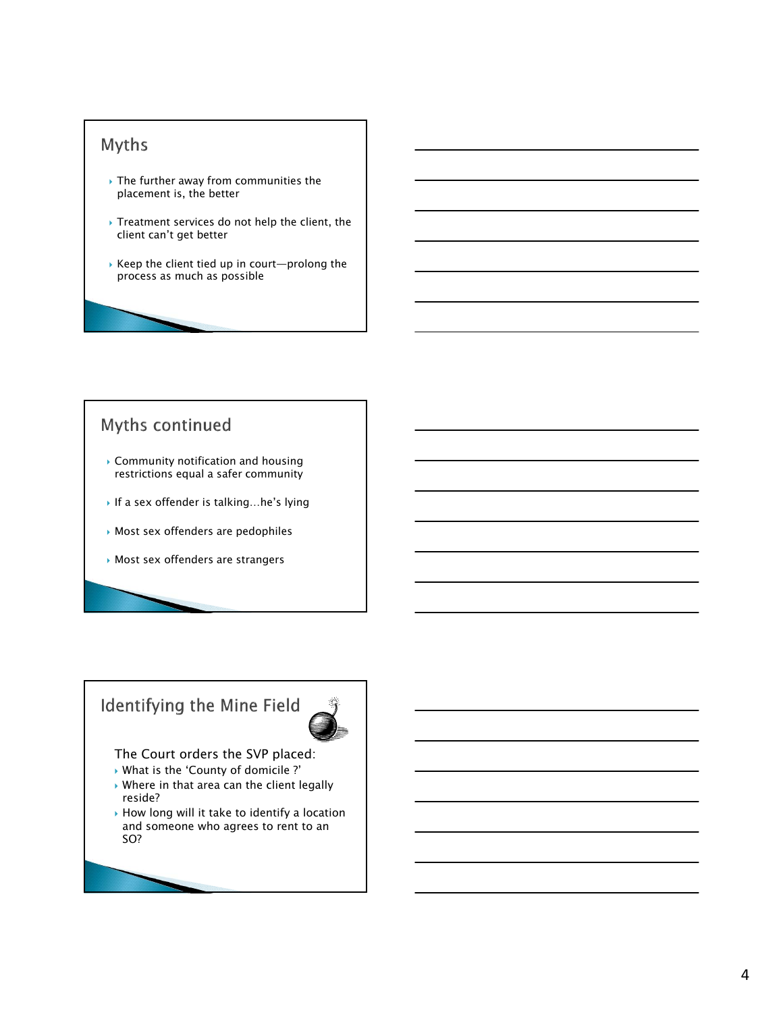## **Myths**

- The further away from communities the placement is, the better
- ▶ Treatment services do not help the client, the client can't get better
- $\rightarrow$  Keep the client tied up in court—prolong the process as much as possible

# Myths continued

- Community notification and housing restrictions equal a safer community
- ▶ If a sex offender is talking...he's lying
- Most sex offenders are pedophiles
- Most sex offenders are strangers

# Identifying the Mine Field



The Court orders the SVP placed:

- What is the 'County of domicile ?'
- Where in that area can the client legally reside?
- $\rightarrow$  How long will it take to identify a location and someone who agrees to rent to an SO?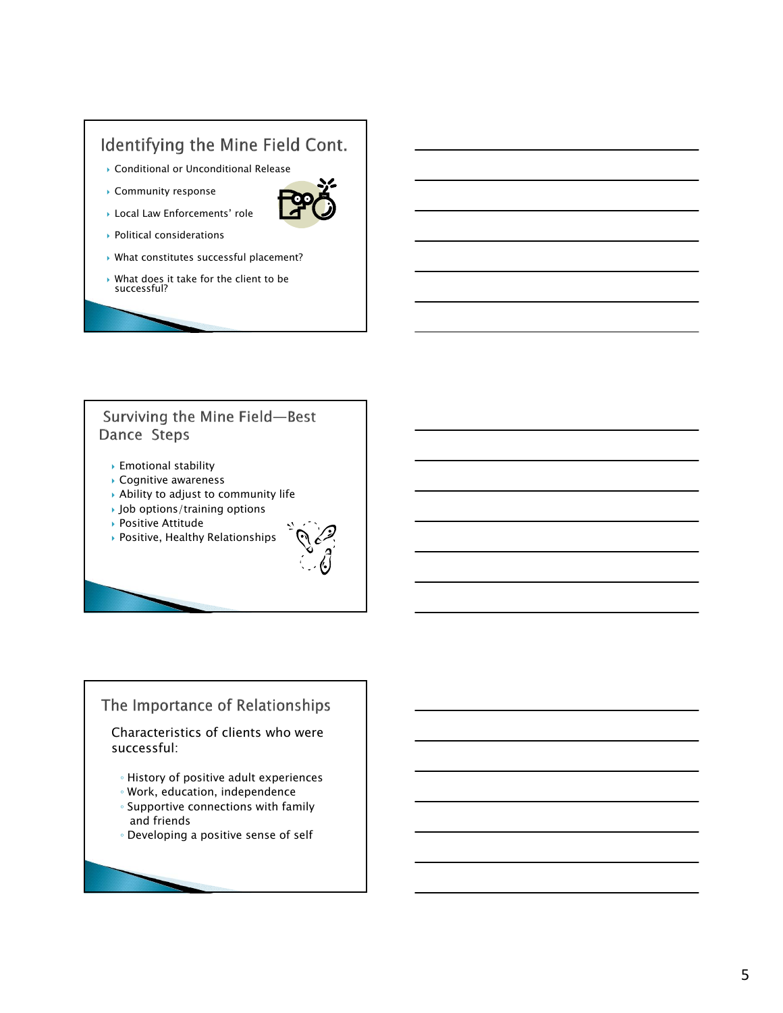# Identifying the Mine Field Cont.

- ▶ Conditional or Unconditional Release
- Community response
- Local Law Enforcements' role
- Political considerations
- What constitutes successful placement?
- What does it take for the client to be successful?

## Surviving the Mine Field-Best Dance Steps

- Emotional stability
- Cognitive awareness
- Ability to adjust to community life
- Job options/training options
- ▶ Positive Attitude
- Positive, Healthy Relationships



## The Importance of Relationships

Characteristics of clients who were successful:

- History of positive adult experiences
- Work, education, independence
- Supportive connections with family and friends
- Developing a positive sense of self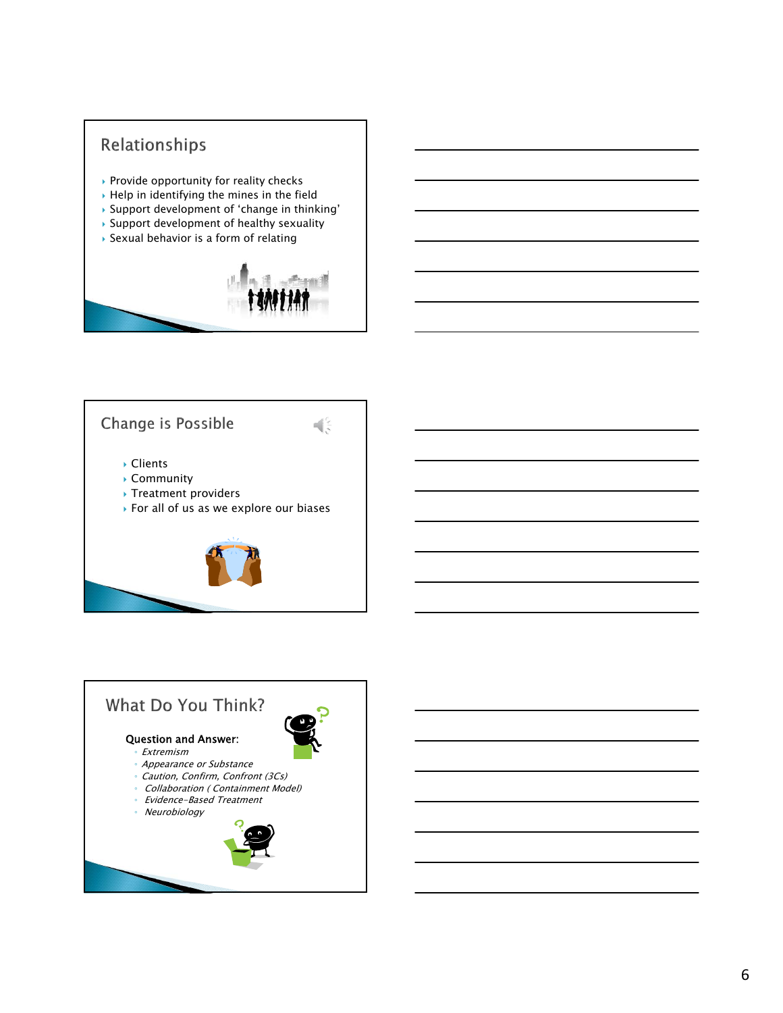





- Community
- ▶ Treatment providers
- ▶ For all of us as we explore our biases